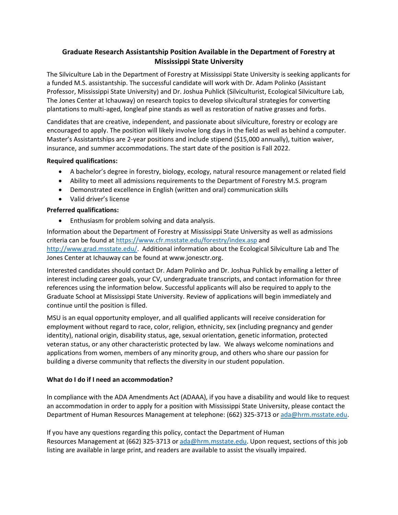# **Graduate Research Assistantship Position Available in the Department of Forestry at Mississippi State University**

The Silviculture Lab in the Department of Forestry at Mississippi State University is seeking applicants for a funded M.S. assistantship. The successful candidate will work with Dr. Adam Polinko (Assistant Professor, Mississippi State University) and Dr. Joshua Puhlick (Silviculturist, Ecological Silviculture Lab, The Jones Center at Ichauway) on research topics to develop silvicultural strategies for converting plantations to multi-aged, longleaf pine stands as well as restoration of native grasses and forbs.

Candidates that are creative, independent, and passionate about silviculture, forestry or ecology are encouraged to apply. The position will likely involve long days in the field as well as behind a computer. Master's Assistantships are 2-year positions and include stipend (\$15,000 annually), tuition waiver, insurance, and summer accommodations. The start date of the position is Fall 2022.

#### **Required qualifications:**

- A bachelor's degree in forestry, biology, ecology, natural resource management or related field
- Ability to meet all admissions requirements to the Department of Forestry M.S. program
- Demonstrated excellence in English (written and oral) communication skills
- Valid driver's license

## **Preferred qualifications:**

• Enthusiasm for problem solving and data analysis.

Information about the Department of Forestry at Mississippi State University as well as admissions criteria can be found a[t https://www.cfr.msstate.edu/forestry/index.asp](https://www.cfr.msstate.edu/forestry/index.asp) and [http://www.grad.msstate.edu/.](http://www.grad.msstate.edu/) Additional information about the Ecological Silviculture Lab and The Jones Center at Ichauway can be found at www.jonesctr.org.

Interested candidates should contact Dr. Adam Polinko and Dr. Joshua Puhlick by emailing a letter of interest including career goals, your CV, undergraduate transcripts, and contact information for three references using the information below. Successful applicants will also be required to apply to the Graduate School at Mississippi State University. Review of applications will begin immediately and continue until the position is filled.

MSU is an equal opportunity employer, and all qualified applicants will receive consideration for employment without regard to race, color, religion, ethnicity, sex (including pregnancy and gender identity), national origin, disability status, age, sexual orientation, genetic information, protected veteran status, or any other characteristic protected by law. We always welcome nominations and applications from women, members of any minority group, and others who share our passion for building a diverse community that reflects the diversity in our student population.

## **What do I do if I need an accommodation?**

In compliance with the ADA Amendments Act (ADAAA), if you have a disability and would like to request an accommodation in order to apply for a position with Mississippi State University, please contact the Department of Human Resources Management at telephone: (662) 325-3713 or [ada@hrm.msstate.edu.](mailto:employment@hrm.msstate.edu)

If you have any questions regarding this policy, contact the Department of Human Resources Management at (662) 325-3713 or [ada@hrm.msstate.edu.](mailto:employment@hrm.msstate.edu) Upon request, sections of this job listing are available in large print, and readers are available to assist the visually impaired.